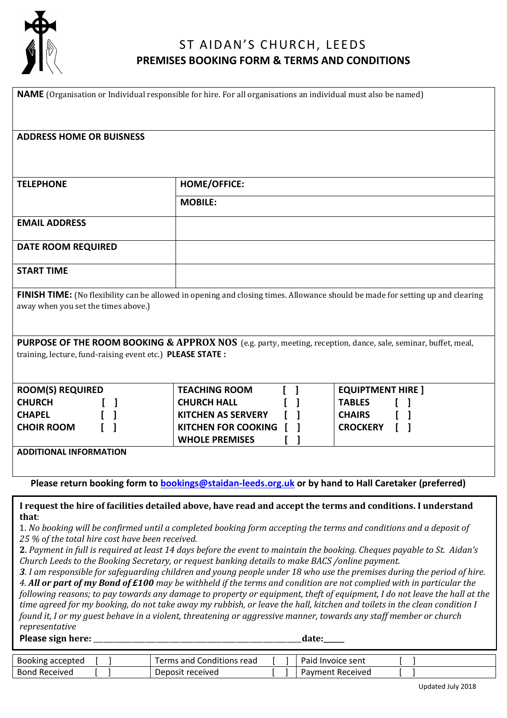

**Bond Received** 

# ST AIDAN'S CHURCH, LEEDS **PREMISES BOOKING FORM & TERMS AND CONDITIONS**

| <b>NAME</b> (Organisation or Individual responsible for hire. For all organisations an individual must also be named)                                                                                                                                                                                                                                                                                                                                                                                                                                                                                                                                                                                                                                                                                                                                                                                                                                                                                                                                                                                                                                                                                              |                                                     |                          |
|--------------------------------------------------------------------------------------------------------------------------------------------------------------------------------------------------------------------------------------------------------------------------------------------------------------------------------------------------------------------------------------------------------------------------------------------------------------------------------------------------------------------------------------------------------------------------------------------------------------------------------------------------------------------------------------------------------------------------------------------------------------------------------------------------------------------------------------------------------------------------------------------------------------------------------------------------------------------------------------------------------------------------------------------------------------------------------------------------------------------------------------------------------------------------------------------------------------------|-----------------------------------------------------|--------------------------|
| <b>ADDRESS HOME OR BUISNESS</b>                                                                                                                                                                                                                                                                                                                                                                                                                                                                                                                                                                                                                                                                                                                                                                                                                                                                                                                                                                                                                                                                                                                                                                                    |                                                     |                          |
| <b>TELEPHONE</b>                                                                                                                                                                                                                                                                                                                                                                                                                                                                                                                                                                                                                                                                                                                                                                                                                                                                                                                                                                                                                                                                                                                                                                                                   | HOME/OFFICE:                                        |                          |
|                                                                                                                                                                                                                                                                                                                                                                                                                                                                                                                                                                                                                                                                                                                                                                                                                                                                                                                                                                                                                                                                                                                                                                                                                    | <b>MOBILE:</b>                                      |                          |
| <b>EMAIL ADDRESS</b>                                                                                                                                                                                                                                                                                                                                                                                                                                                                                                                                                                                                                                                                                                                                                                                                                                                                                                                                                                                                                                                                                                                                                                                               |                                                     |                          |
| <b>DATE ROOM REQUIRED</b>                                                                                                                                                                                                                                                                                                                                                                                                                                                                                                                                                                                                                                                                                                                                                                                                                                                                                                                                                                                                                                                                                                                                                                                          |                                                     |                          |
| <b>START TIME</b>                                                                                                                                                                                                                                                                                                                                                                                                                                                                                                                                                                                                                                                                                                                                                                                                                                                                                                                                                                                                                                                                                                                                                                                                  |                                                     |                          |
| <b>FINISH TIME:</b> (No flexibility can be allowed in opening and closing times. Allowance should be made for setting up and clearing<br>away when you set the times above.)                                                                                                                                                                                                                                                                                                                                                                                                                                                                                                                                                                                                                                                                                                                                                                                                                                                                                                                                                                                                                                       |                                                     |                          |
| PURPOSE OF THE ROOM BOOKING & APPROX NOS (e.g. party, meeting, reception, dance, sale, seminar, buffet, meal,<br>training, lecture, fund-raising event etc.) PLEASE STATE :                                                                                                                                                                                                                                                                                                                                                                                                                                                                                                                                                                                                                                                                                                                                                                                                                                                                                                                                                                                                                                        |                                                     |                          |
| <b>ROOM(S) REQUIRED</b>                                                                                                                                                                                                                                                                                                                                                                                                                                                                                                                                                                                                                                                                                                                                                                                                                                                                                                                                                                                                                                                                                                                                                                                            | <b>TEACHING ROOM</b>                                | <b>EQUIPTMENT HIRE ]</b> |
| <b>CHURCH</b>                                                                                                                                                                                                                                                                                                                                                                                                                                                                                                                                                                                                                                                                                                                                                                                                                                                                                                                                                                                                                                                                                                                                                                                                      | <b>CHURCH HALL</b>                                  | <b>TABLES</b>            |
| <b>CHAPEL</b>                                                                                                                                                                                                                                                                                                                                                                                                                                                                                                                                                                                                                                                                                                                                                                                                                                                                                                                                                                                                                                                                                                                                                                                                      | <b>KITCHEN AS SERVERY</b>                           | <b>CHAIRS</b>            |
| <b>CHOIR ROOM</b>                                                                                                                                                                                                                                                                                                                                                                                                                                                                                                                                                                                                                                                                                                                                                                                                                                                                                                                                                                                                                                                                                                                                                                                                  | <b>KITCHEN FOR COOKING</b><br><b>WHOLE PREMISES</b> | <b>CROCKERY</b>          |
| <b>ADDITIONAL INFORMATION</b>                                                                                                                                                                                                                                                                                                                                                                                                                                                                                                                                                                                                                                                                                                                                                                                                                                                                                                                                                                                                                                                                                                                                                                                      |                                                     |                          |
|                                                                                                                                                                                                                                                                                                                                                                                                                                                                                                                                                                                                                                                                                                                                                                                                                                                                                                                                                                                                                                                                                                                                                                                                                    |                                                     |                          |
| Please return booking form to <b>bookings@staidan-leeds.org.uk</b> or by hand to Hall Caretaker (preferred)                                                                                                                                                                                                                                                                                                                                                                                                                                                                                                                                                                                                                                                                                                                                                                                                                                                                                                                                                                                                                                                                                                        |                                                     |                          |
| I request the hire of facilities detailed above, have read and accept the terms and conditions. I understand<br>that:<br>1. No booking will be confirmed until a completed booking form accepting the terms and conditions and a deposit of<br>25 % of the total hire cost have been received.<br>2. Payment in full is required at least 14 days before the event to maintain the booking. Cheques payable to St. Aidan's<br>Church Leeds to the Booking Secretary, or request banking details to make BACS /online payment.<br>3. I am responsible for safeguarding children and young people under 18 who use the premises during the period of hire.<br>4. All or part of my Bond of £100 may be withheld if the terms and condition are not complied with in particular the<br>following reasons; to pay towards any damage to property or equipment, theft of equipment, I do not leave the hall at the<br>time agreed for my booking, do not take away my rubbish, or leave the hall, kitchen and toilets in the clean condition I<br>found it, I or my guest behave in a violent, threatening or aggressive manner, towards any staff member or church<br>representative<br>Please sign here:<br>date:____ |                                                     |                          |
| Booking accepted                                                                                                                                                                                                                                                                                                                                                                                                                                                                                                                                                                                                                                                                                                                                                                                                                                                                                                                                                                                                                                                                                                                                                                                                   | Terms and Conditions read                           | Paid Invoice sent        |

Bond Received [ ] Payment Received [ ]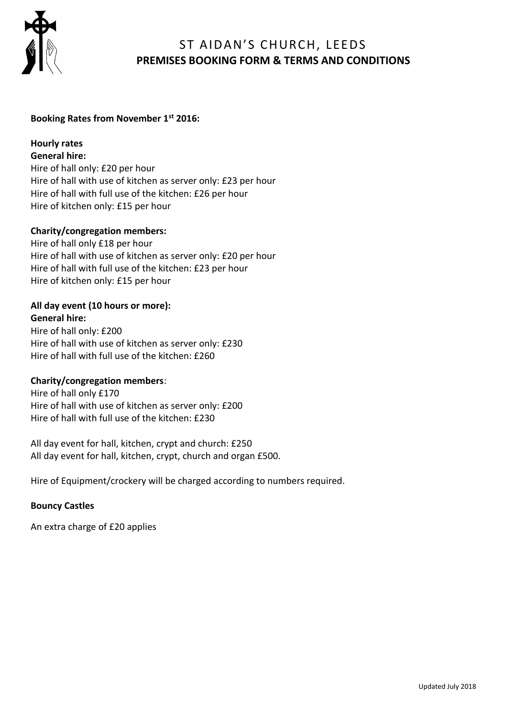

## ST AIDAN'S CHURCH, LEEDS **PREMISES BOOKING FORM & TERMS AND CONDITIONS**

### **Booking Rates from November 1st 2016:**

## **Hourly rates**

**General hire:**

Hire of hall only: £20 per hour Hire of hall with use of kitchen as server only: £23 per hour Hire of hall with full use of the kitchen: £26 per hour Hire of kitchen only: £15 per hour

### **Charity/congregation members:**

Hire of hall only £18 per hour Hire of hall with use of kitchen as server only: £20 per hour Hire of hall with full use of the kitchen: £23 per hour Hire of kitchen only: £15 per hour

#### **All day event (10 hours or more): General hire:**

Hire of hall only: £200 Hire of hall with use of kitchen as server only: £230 Hire of hall with full use of the kitchen: £260

### **Charity/congregation members**:

Hire of hall only £170 Hire of hall with use of kitchen as server only: £200 Hire of hall with full use of the kitchen: £230

All day event for hall, kitchen, crypt and church: £250 All day event for hall, kitchen, crypt, church and organ £500.

Hire of Equipment/crockery will be charged according to numbers required.

### **Bouncy Castles**

An extra charge of £20 applies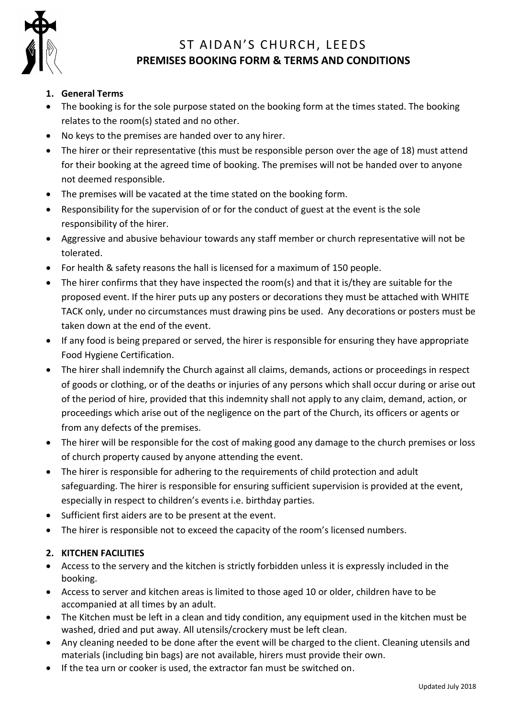

## ST AIDAN'S CHURCH, LEEDS **PREMISES BOOKING FORM & TERMS AND CONDITIONS**

## **1. General Terms**

- The booking is for the sole purpose stated on the booking form at the times stated. The booking relates to the room(s) stated and no other.
- No keys to the premises are handed over to any hirer.
- The hirer or their representative (this must be responsible person over the age of 18) must attend for their booking at the agreed time of booking. The premises will not be handed over to anyone not deemed responsible.
- The premises will be vacated at the time stated on the booking form.
- Responsibility for the supervision of or for the conduct of guest at the event is the sole responsibility of the hirer.
- Aggressive and abusive behaviour towards any staff member or church representative will not be tolerated.
- For health & safety reasons the hall is licensed for a maximum of 150 people.
- The hirer confirms that they have inspected the room(s) and that it is/they are suitable for the proposed event. If the hirer puts up any posters or decorations they must be attached with WHITE TACK only, under no circumstances must drawing pins be used. Any decorations or posters must be taken down at the end of the event.
- If any food is being prepared or served, the hirer is responsible for ensuring they have appropriate Food Hygiene Certification.
- The hirer shall indemnify the Church against all claims, demands, actions or proceedings in respect of goods or clothing, or of the deaths or injuries of any persons which shall occur during or arise out of the period of hire, provided that this indemnity shall not apply to any claim, demand, action, or proceedings which arise out of the negligence on the part of the Church, its officers or agents or from any defects of the premises.
- The hirer will be responsible for the cost of making good any damage to the church premises or loss of church property caused by anyone attending the event.
- The hirer is responsible for adhering to the requirements of child protection and adult safeguarding. The hirer is responsible for ensuring sufficient supervision is provided at the event, especially in respect to children's events i.e. birthday parties.
- Sufficient first aiders are to be present at the event.
- The hirer is responsible not to exceed the capacity of the room's licensed numbers.

## **2. KITCHEN FACILITIES**

- Access to the servery and the kitchen is strictly forbidden unless it is expressly included in the booking.
- Access to server and kitchen areas is limited to those aged 10 or older, children have to be accompanied at all times by an adult.
- The Kitchen must be left in a clean and tidy condition, any equipment used in the kitchen must be washed, dried and put away. All utensils/crockery must be left clean.
- Any cleaning needed to be done after the event will be charged to the client. Cleaning utensils and materials (including bin bags) are not available, hirers must provide their own.
- If the tea urn or cooker is used, the extractor fan must be switched on.